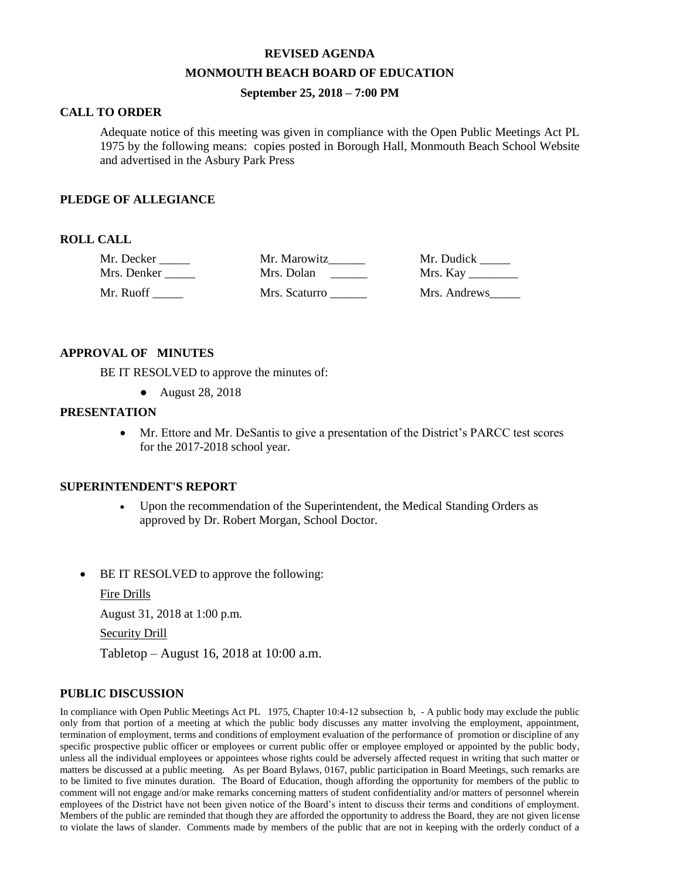#### **REVISED AGENDA**

#### **MONMOUTH BEACH BOARD OF EDUCATION**

## **September 25, 2018 – 7:00 PM**

## **CALL TO ORDER**

Adequate notice of this meeting was given in compliance with the Open Public Meetings Act PL 1975 by the following means: copies posted in Borough Hall, Monmouth Beach School Website and advertised in the Asbury Park Press

#### **PLEDGE OF ALLEGIANCE**

### **ROLL CALL**

| Mr. Decker  | Mr. Marowitz  | Mr. Dudick   |
|-------------|---------------|--------------|
| Mrs. Denker | Mrs. Dolan    |              |
| Mr. Ruoff   | Mrs. Scaturro | Mrs. Andrews |

### **APPROVAL OF MINUTES**

BE IT RESOLVED to approve the minutes of:

● August 28, 2018

## **PRESENTATION**

 Mr. Ettore and Mr. DeSantis to give a presentation of the District's PARCC test scores for the 2017-2018 school year.

#### **SUPERINTENDENT'S REPORT**

- Upon the recommendation of the Superintendent, the Medical Standing Orders as approved by Dr. Robert Morgan, School Doctor.
- BE IT RESOLVED to approve the following:

Fire Drills

August 31, 2018 at 1:00 p.m.

Security Drill

Tabletop – August 16, 2018 at 10:00 a.m.

## **PUBLIC DISCUSSION**

In compliance with Open Public Meetings Act PL 1975, Chapter 10:4-12 subsection b, - A public body may exclude the public only from that portion of a meeting at which the public body discusses any matter involving the employment, appointment, termination of employment, terms and conditions of employment evaluation of the performance of promotion or discipline of any specific prospective public officer or employees or current public offer or employee employed or appointed by the public body, unless all the individual employees or appointees whose rights could be adversely affected request in writing that such matter or matters be discussed at a public meeting. As per Board Bylaws, 0167, public participation in Board Meetings, such remarks are to be limited to five minutes duration. The Board of Education, though affording the opportunity for members of the public to comment will not engage and/or make remarks concerning matters of student confidentiality and/or matters of personnel wherein employees of the District have not been given notice of the Board's intent to discuss their terms and conditions of employment. Members of the public are reminded that though they are afforded the opportunity to address the Board, they are not given license to violate the laws of slander. Comments made by members of the public that are not in keeping with the orderly conduct of a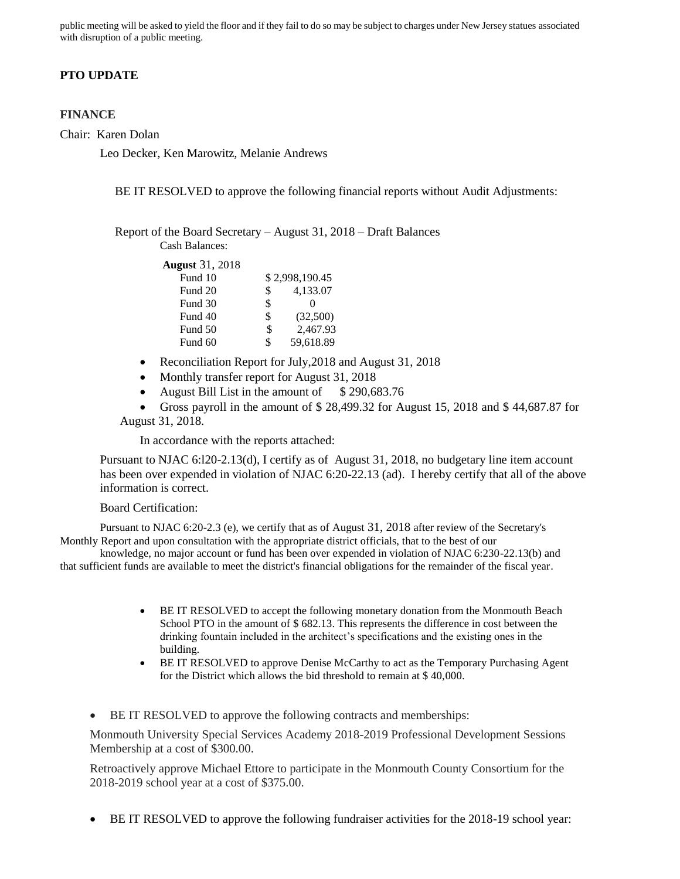public meeting will be asked to yield the floor and if they fail to do so may be subject to charges under New Jersey statues associated with disruption of a public meeting.

## **PTO UPDATE**

### **FINANCE**

Chair: Karen Dolan

Leo Decker, Ken Marowitz, Melanie Andrews

BE IT RESOLVED to approve the following financial reports without Audit Adjustments:

Report of the Board Secretary – August 31, 2018 – Draft Balances Cash Balances:

| <b>August</b> 31, 2018 |    |                |
|------------------------|----|----------------|
| Fund 10                |    | \$2,998,190.45 |
| Fund 20                | \$ | 4,133.07       |
| Fund 30                | \$ |                |
| Fund 40                | \$ | (32,500)       |
| Fund 50                | \$ | 2,467.93       |
| Fund 60                | ж  | 59,618.89      |

- Reconciliation Report for July, 2018 and August 31, 2018
- Monthly transfer report for August 31, 2018
- August Bill List in the amount of  $$290,683.76$
- Gross payroll in the amount of \$ 28,499.32 for August 15, 2018 and \$ 44,687.87 for August 31, 2018.

In accordance with the reports attached:

Pursuant to NJAC 6:l20-2.13(d), I certify as of August 31, 2018, no budgetary line item account has been over expended in violation of NJAC 6:20-22.13 (ad). I hereby certify that all of the above information is correct.

#### Board Certification:

Pursuant to NJAC 6:20-2.3 (e), we certify that as of August 31, 2018 after review of the Secretary's Monthly Report and upon consultation with the appropriate district officials, that to the best of our

knowledge, no major account or fund has been over expended in violation of NJAC 6:230-22.13(b) and that sufficient funds are available to meet the district's financial obligations for the remainder of the fiscal year.

- BE IT RESOLVED to accept the following monetary donation from the Monmouth Beach School PTO in the amount of \$ 682.13. This represents the difference in cost between the drinking fountain included in the architect's specifications and the existing ones in the building.
- BE IT RESOLVED to approve Denise McCarthy to act as the Temporary Purchasing Agent for the District which allows the bid threshold to remain at \$ 40,000.
- BE IT RESOLVED to approve the following contracts and memberships:

Monmouth University Special Services Academy 2018-2019 Professional Development Sessions Membership at a cost of \$300.00.

Retroactively approve Michael Ettore to participate in the Monmouth County Consortium for the 2018-2019 school year at a cost of \$375.00.

BE IT RESOLVED to approve the following fundraiser activities for the 2018-19 school year: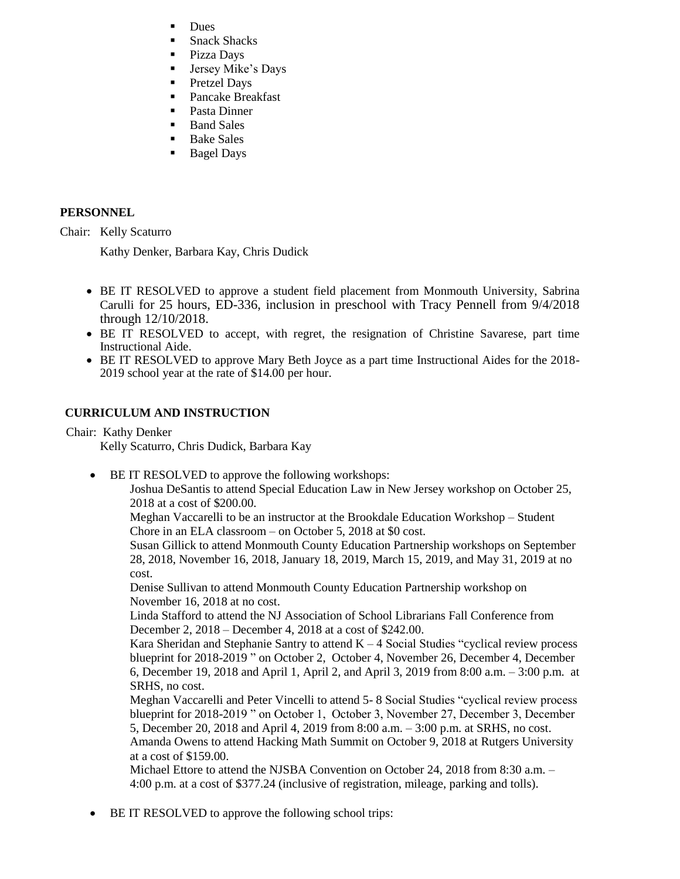- Dues
- Snack Shacks
- **Pizza Days**
- **Jersey Mike's Days**
- **Pretzel Days**
- Pancake Breakfast
- Pasta Dinner
- **Band Sales**
- Bake Sales
- Bagel Days

## **PERSONNEL**

Chair: Kelly Scaturro

Kathy Denker, Barbara Kay, Chris Dudick

- BE IT RESOLVED to approve a student field placement from Monmouth University, Sabrina Carulli for 25 hours, ED-336, inclusion in preschool with Tracy Pennell from 9/4/2018 through 12/10/2018.
- BE IT RESOLVED to accept, with regret, the resignation of Christine Savarese, part time Instructional Aide.
- BE IT RESOLVED to approve Mary Beth Joyce as a part time Instructional Aides for the 2018- 2019 school year at the rate of \$14.00 per hour.

# **CURRICULUM AND INSTRUCTION**

Chair: Kathy Denker

Kelly Scaturro, Chris Dudick, Barbara Kay

BE IT RESOLVED to approve the following workshops:

Joshua DeSantis to attend Special Education Law in New Jersey workshop on October 25, 2018 at a cost of \$200.00.

Meghan Vaccarelli to be an instructor at the Brookdale Education Workshop – Student Chore in an ELA classroom – on October 5, 2018 at \$0 cost.

Susan Gillick to attend Monmouth County Education Partnership workshops on September 28, 2018, November 16, 2018, January 18, 2019, March 15, 2019, and May 31, 2019 at no cost.

Denise Sullivan to attend Monmouth County Education Partnership workshop on November 16, 2018 at no cost.

Linda Stafford to attend the NJ Association of School Librarians Fall Conference from December 2, 2018 – December 4, 2018 at a cost of \$242.00.

Kara Sheridan and Stephanie Santry to attend  $K - 4$  Social Studies "cyclical review process" blueprint for 2018-2019 " on October 2, October 4, November 26, December 4, December 6, December 19, 2018 and April 1, April 2, and April 3, 2019 from 8:00 a.m. – 3:00 p.m. at SRHS, no cost.

Meghan Vaccarelli and Peter Vincelli to attend 5- 8 Social Studies "cyclical review process blueprint for 2018-2019 " on October 1, October 3, November 27, December 3, December 5, December 20, 2018 and April 4, 2019 from 8:00 a.m. – 3:00 p.m. at SRHS, no cost. Amanda Owens to attend Hacking Math Summit on October 9, 2018 at Rutgers University at a cost of \$159.00.

Michael Ettore to attend the NJSBA Convention on October 24, 2018 from 8:30 a.m. – 4:00 p.m. at a cost of \$377.24 (inclusive of registration, mileage, parking and tolls).

BE IT RESOLVED to approve the following school trips: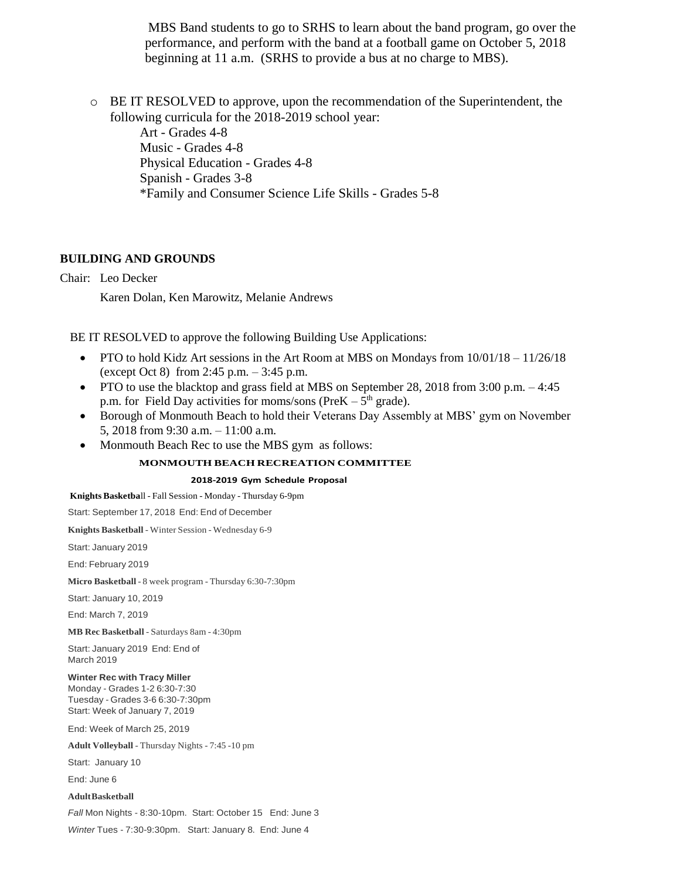MBS Band students to go to SRHS to learn about the band program, go over the performance, and perform with the band at a football game on October 5, 2018 beginning at 11 a.m. (SRHS to provide a bus at no charge to MBS).

 $\circ$  BE IT RESOLVED to approve, upon the recommendation of the Superintendent, the following curricula for the 2018-2019 school year:

> Art - Grades 4-8 Music - Grades 4-8 Physical Education - Grades 4-8 Spanish - Grades 3-8 \*Family and Consumer Science Life Skills - Grades 5-8

## **BUILDING AND GROUNDS**

Chair: Leo Decker

Karen Dolan, Ken Marowitz, Melanie Andrews

BE IT RESOLVED to approve the following Building Use Applications:

- PTO to hold Kidz Art sessions in the Art Room at MBS on Mondays from 10/01/18 11/26/18 (except Oct 8) from 2:45 p.m. – 3:45 p.m.
- PTO to use the blacktop and grass field at MBS on September 28, 2018 from  $3:00$  p.m.  $-4:45$ p.m. for Field Day activities for moms/sons (Pre $K - 5<sup>th</sup>$  grade).
- Borough of Monmouth Beach to hold their Veterans Day Assembly at MBS' gym on November 5, 2018 from 9:30 a.m. – 11:00 a.m.
- Monmouth Beach Rec to use the MBS gym as follows:

### **MONMOUTH BEACH RECREATION COMMITTEE**

#### **2018-2019 Gym Schedule Proposal**

**Knights Basketba**ll - Fall Session - Monday - Thursday 6-9pm

Start: September 17, 2018 End: End of December

**Knights Basketball** - Winter Session - Wednesday 6-9

Start: January 2019

End: February 2019

**Micro Basketball** - 8 week program - Thursday 6:30-7:30pm

Start: January 10, 2019

End: March 7, 2019

**MB Rec Basketball** - Saturdays 8am - 4:30pm

Start: January 2019 End: End of March 2019

### **Winter Rec with Tracy Miller**

Monday - Grades 1-2 6:30-7:30 Tuesday - Grades 3-6 6:30-7:30pm Start: Week of January 7, 2019

End: Week of March 25, 2019

**Adult Volleyball** - Thursday Nights - 7:45 -10 pm

Start: January 10

End: June 6

#### **AdultBasketball**

*Fall* Mon Nights - 8:30-10pm. Start: October 15 End: June 3

*Winter* Tues - 7:30-9:30pm. Start: January 8. End: June 4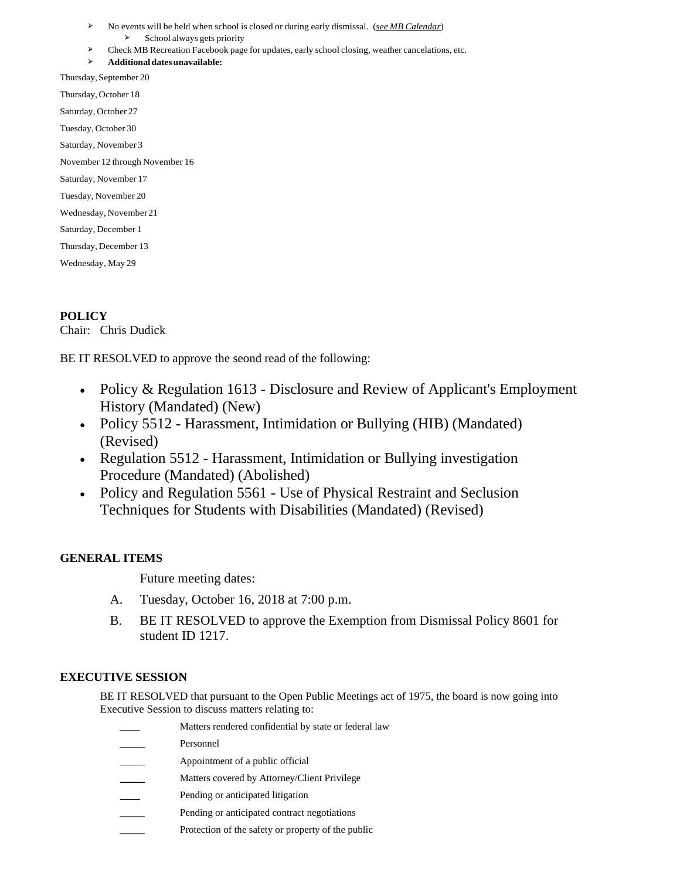- ➢ No events will be held when school is closed or during early dismissal. (*see MB Calendar*)
- ➢ School always gets priority
- ➢ Check MB Recreation Facebook page for updates, early school closing, weather cancelations, etc.

➢ **Additionaldatesunavailable:**

Thursday, September 20 Thursday, October 18 Saturday, October 27 Tuesday, October 30 Saturday, November 3 November 12 through November 16 Saturday, November 17 Tuesday, November 20 Wednesday, November 21 Saturday, December 1 Thursday, December 13 Wednesday, May 29

## **POLICY**

Chair: Chris Dudick

BE IT RESOLVED to approve the seond read of the following:

- Policy & Regulation 1613 Disclosure and Review of Applicant's Employment History (Mandated) (New)
- Policy 5512 Harassment, Intimidation or Bullying (HIB) (Mandated) (Revised)
- Regulation 5512 Harassment, Intimidation or Bullying investigation Procedure (Mandated) (Abolished)
- Policy and Regulation 5561 Use of Physical Restraint and Seclusion Techniques for Students with Disabilities (Mandated) (Revised)

## **GENERAL ITEMS**

Future meeting dates:

- A. Tuesday, October 16, 2018 at 7:00 p.m.
- B. BE IT RESOLVED to approve the Exemption from Dismissal Policy 8601 for student ID 1217.

## **EXECUTIVE SESSION**

BE IT RESOLVED that pursuant to the Open Public Meetings act of 1975, the board is now going into Executive Session to discuss matters relating to:

- Matters rendered confidential by state or federal law
- Personnel
- Appointment of a public official
- Matters covered by Attorney/Client Privilege
- Pending or anticipated litigation
- Pending or anticipated contract negotiations
- Protection of the safety or property of the public